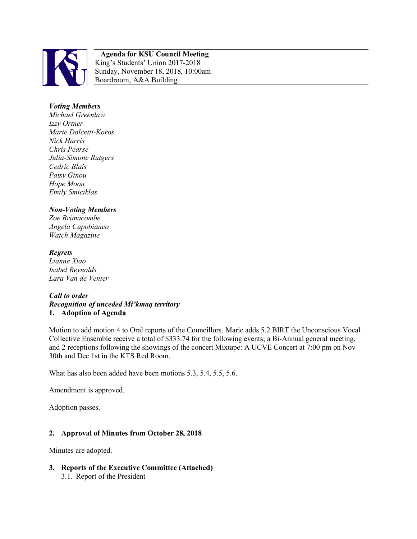

#### **Agenda for KSU Council Meeting**  King's Students' Union 2017-2018 Sunday, November 18, 2018, 10:00am Boardroom, A&A Building

## *Voting Members*

*Michael Greenlaw Izzy Ortner Marie Dolcetti-Koros Nick Harris Chris Pearse Julia-Simone Rutgers Cedric Blais Patsy Ginou Hope Moon Emily Smiciklas*

### *Non-Voting Members*

*Zoe Brimacombe Angela Capobianco Watch Magazine*

# *Regrets Lianne Xiao*

*Isabel Reynolds Lara Van de Venter*

### *Call to order Recognition of unceded Mi'kmaq territory*  **1. Adoption of Agenda**

Motion to add motion 4 to Oral reports of the Councillors. Marie adds 5.2 BIRT the Unconscious Vocal Collective Ensemble receive a total of \$333.74 for the following events; a Bi-Annual general meeting, and 2 receptions following the showings of the concert Mixtape: A UCVE Concert at 7:00 pm on Nov 30th and Dec 1st in the KTS Red Room.

What has also been added have been motions 5.3, 5.4, 5.5, 5.6.

Amendment is approved.

Adoption passes.

### **2. Approval of Minutes from October 28, 2018**

Minutes are adopted.

**3. Reports of the Executive Committee (Attached)** 3.1. Report of the President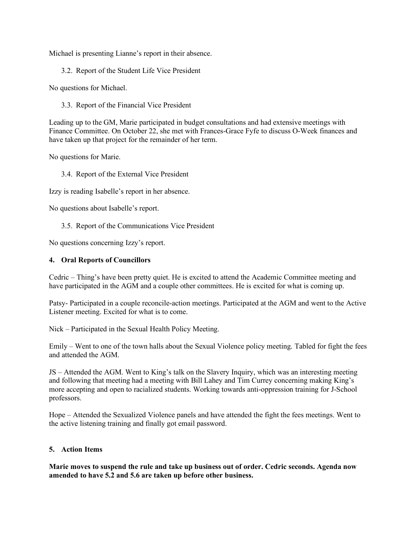Michael is presenting Lianne's report in their absence.

3.2. Report of the Student Life Vice President

No questions for Michael.

3.3. Report of the Financial Vice President

Leading up to the GM, Marie participated in budget consultations and had extensive meetings with Finance Committee. On October 22, she met with Frances-Grace Fyfe to discuss O-Week finances and have taken up that project for the remainder of her term.

No questions for Marie.

3.4. Report of the External Vice President

Izzy is reading Isabelle's report in her absence.

No questions about Isabelle's report.

3.5. Report of the Communications Vice President

No questions concerning Izzy's report.

#### **4. Oral Reports of Councillors**

Cedric – Thing's have been pretty quiet. He is excited to attend the Academic Committee meeting and have participated in the AGM and a couple other committees. He is excited for what is coming up.

Patsy- Participated in a couple reconcile-action meetings. Participated at the AGM and went to the Active Listener meeting. Excited for what is to come.

Nick – Participated in the Sexual Health Policy Meeting.

Emily – Went to one of the town halls about the Sexual Violence policy meeting. Tabled for fight the fees and attended the AGM

JS – Attended the AGM. Went to King's talk on the Slavery Inquiry, which was an interesting meeting and following that meeting had a meeting with Bill Lahey and Tim Currey concerning making King's more accepting and open to racialized students. Working towards anti-oppression training for J-School professors.

Hope – Attended the Sexualized Violence panels and have attended the fight the fees meetings. Went to the active listening training and finally got email password.

### **5. Action Items**

**Marie moves to suspend the rule and take up business out of order. Cedric seconds. Agenda now amended to have 5.2 and 5.6 are taken up before other business.**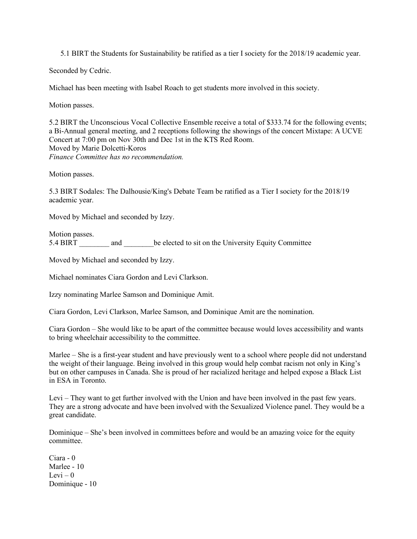5.1 BIRT the Students for Sustainability be ratified as a tier I society for the 2018/19 academic year.

Seconded by Cedric.

Michael has been meeting with Isabel Roach to get students more involved in this society.

Motion passes.

5.2 BIRT the Unconscious Vocal Collective Ensemble receive a total of \$333.74 for the following events; a Bi-Annual general meeting, and 2 receptions following the showings of the concert Mixtape: A UCVE Concert at 7:00 pm on Nov 30th and Dec 1st in the KTS Red Room. Moved by Marie Dolcetti-Koros *Finance Committee has no recommendation.*

Motion passes.

5.3 BIRT Sodales: The Dalhousie/King's Debate Team be ratified as a Tier I society for the 2018/19 academic year.

Moved by Michael and seconded by Izzy.

Motion passes. 5.4 BIRT and be elected to sit on the University Equity Committee

Moved by Michael and seconded by Izzy.

Michael nominates Ciara Gordon and Levi Clarkson.

Izzy nominating Marlee Samson and Dominique Amit.

Ciara Gordon, Levi Clarkson, Marlee Samson, and Dominique Amit are the nomination.

Ciara Gordon – She would like to be apart of the committee because would loves accessibility and wants to bring wheelchair accessibility to the committee.

Marlee – She is a first-year student and have previously went to a school where people did not understand the weight of their language. Being involved in this group would help combat racism not only in King's but on other campuses in Canada. She is proud of her racialized heritage and helped expose a Black List in ESA in Toronto.

Levi – They want to get further involved with the Union and have been involved in the past few years. They are a strong advocate and have been involved with the Sexualized Violence panel. They would be a great candidate.

Dominique – She's been involved in committees before and would be an amazing voice for the equity committee.

Ciara - 0 Marlee - 10 Levi –  $0$ Dominique - 10